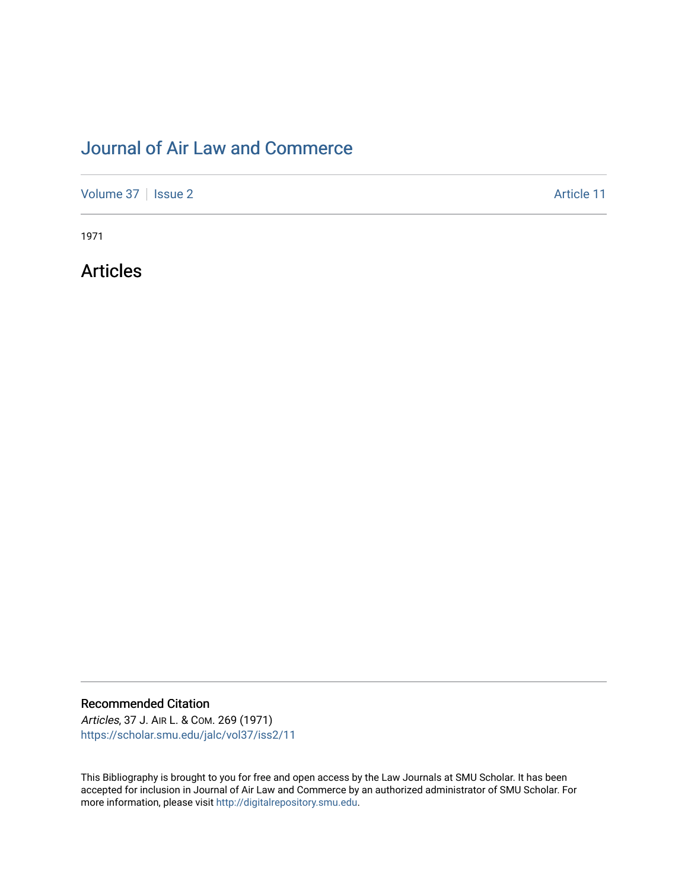# [Journal of Air Law and Commerce](https://scholar.smu.edu/jalc)

[Volume 37](https://scholar.smu.edu/jalc/vol37) | [Issue 2](https://scholar.smu.edu/jalc/vol37/iss2) Article 11

1971

Articles

Recommended Citation

Articles, 37 J. AIR L. & COM. 269 (1971) [https://scholar.smu.edu/jalc/vol37/iss2/11](https://scholar.smu.edu/jalc/vol37/iss2/11?utm_source=scholar.smu.edu%2Fjalc%2Fvol37%2Fiss2%2F11&utm_medium=PDF&utm_campaign=PDFCoverPages)

This Bibliography is brought to you for free and open access by the Law Journals at SMU Scholar. It has been accepted for inclusion in Journal of Air Law and Commerce by an authorized administrator of SMU Scholar. For more information, please visit [http://digitalrepository.smu.edu](http://digitalrepository.smu.edu/).